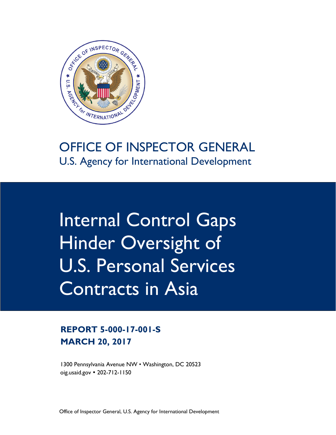

# U.S. Agency for International Development

Internal Control Gaps Hinder Oversight of U.S. Personal Services Contracts in Asia

# **REPORT 5-000-17-001-S MARCH 20, 2017**

1300 Pennsylvania Avenue NW • Washington, DC 20523 [oig.usaid.gov](https://oig.usaid.gov/) 202-712-1150

Office of Inspector General, U.S. Agency for International Development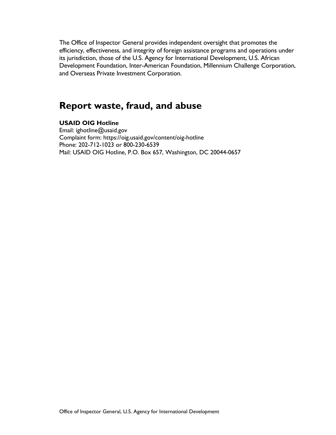The Office of Inspector General provides independent oversight that promotes the efficiency, effectiveness, and integrity of foreign assistance programs and operations under its jurisdiction, those of the U.S. Agency for International Development, U.S. African Development Foundation, Inter-American Foundation, Millennium Challenge Corporation, and Overseas Private Investment Corporation.

## **Report waste, fraud, and abuse**

#### **USAID OIG Hotline**

Email: ighotline@usaid.gov Complaint form: https://oig.usaid.gov/content/oig-hotline Phone: 202-712-1023 or 800-230-6539 Mail: USAID OIG Hotline, P.O. Box 657, Washington, DC 20044-0657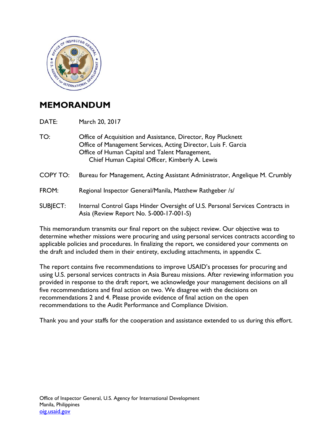

## **MEMORANDUM**

DATE: March 20, 2017

- TO: Office of Acquisition and Assistance, Director, Roy Plucknett Office of Management Services, Acting Director, Luis F. Garcia Office of Human Capital and Talent Management, Chief Human Capital Officer, Kimberly A. Lewis
- COPY TO: Bureau for Management, Acting Assistant Administrator, Angelique M. Crumbly
- FROM: Regional Inspector General/Manila, Matthew Rathgeber /s/
- SUBJECT: Internal Control Gaps Hinder Oversight of U.S. Personal Services Contracts in Asia (Review Report No. 5-000-17-001-S)

This memorandum transmits our final report on the subject review. Our objective was to determine whether missions were procuring and using personal services contracts according to applicable policies and procedures. In finalizing the report, we considered your comments on the draft and included them in their entirety, excluding attachments, in appendix C.

The report contains five recommendations to improve USAID's processes for procuring and using U.S. personal services contracts in Asia Bureau missions. After reviewing information you provided in response to the draft report, we acknowledge your management decisions on all five recommendations and final action on two. We disagree with the decisions on recommendations 2 and 4. Please provide evidence of final action on the open recommendations to the Audit Performance and Compliance Division.

Thank you and your staffs for the cooperation and assistance extended to us during this effort.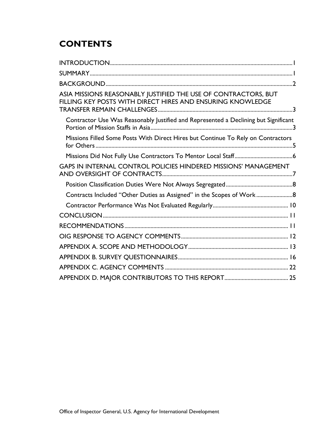# **CONTENTS**

| ASIA MISSIONS REASONABLY JUSTIFIED THE USE OF CONTRACTORS, BUT<br>FILLING KEY POSTS WITH DIRECT HIRES AND ENSURING KNOWLEDGE |
|------------------------------------------------------------------------------------------------------------------------------|
| Contractor Use Was Reasonably Justified and Represented a Declining but Significant                                          |
| Missions Filled Some Posts With Direct Hires but Continue To Rely on Contractors                                             |
|                                                                                                                              |
| GAPS IN INTERNAL CONTROL POLICIES HINDERED MISSIONS' MANAGEMENT                                                              |
|                                                                                                                              |
| Contracts Included "Other Duties as Assigned" in the Scopes of Work                                                          |
|                                                                                                                              |
|                                                                                                                              |
|                                                                                                                              |
|                                                                                                                              |
|                                                                                                                              |
|                                                                                                                              |
|                                                                                                                              |
|                                                                                                                              |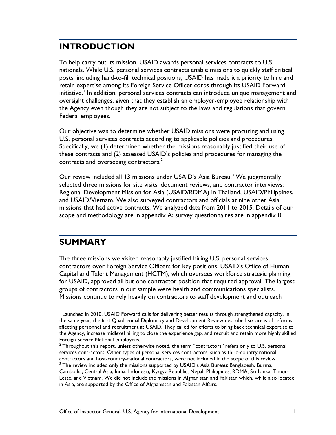## <span id="page-4-0"></span>**INTRODUCTION**

To help carry out its mission, USAID awards personal services contracts to U.S. nationals. While U.S. personal services contracts enable missions to quickly staff critical posts, including hard-to-fill technical positions, USAID has made it a priority to hire and retain expertise among its Foreign Service Officer corps through its USAID Forward initiative.<sup>I</sup> In addition, personal services contracts can introduce unique management and oversight challenges, given that they establish an employer-employee relationship with the Agency even though they are not subject to the laws and regulations that govern Federal employees.

Our objective was to determine whether USAID missions were procuring and using U.S. personal services contracts according to applicable policies and procedures. Specifically, we (1) determined whether the missions reasonably justified their use of these contracts and (2) assessed USAID's policies and procedures for managing the contracts and overseeing contractors.<sup>[2](#page-4-3)</sup>

Our review included all 1[3](#page-4-4) missions under USAID's Asia Bureau.<sup>3</sup> We judgmentally selected three missions for site visits, document reviews, and contractor interviews: Regional Development Mission for Asia (USAID/RDMA) in Thailand, USAID/Philippines, and USAID/Vietnam. We also surveyed contractors and officials at nine other Asia missions that had active contracts. We analyzed data from 2011 to 2015. Details of our scope and methodology are in appendix A; survey questionnaires are in appendix B.

## <span id="page-4-1"></span>**SUMMARY**

The three missions we visited reasonably justified hiring U.S. personal services contractors over Foreign Service Officers for key positions. USAID's Office of Human Capital and Talent Management (HCTM), which oversees workforce strategic planning for USAID, approved all but one contractor position that required approval. The largest groups of contractors in our sample were health and communications specialists. Missions continue to rely heavily on contractors to staff development and outreach

<span id="page-4-2"></span><sup>&</sup>lt;sup>1</sup> Launched in 2010, USAID Forward calls for delivering better results through strengthened capacity. In the same year, the first Quadrennial Diplomacy and Development Review described six areas of reforms affecting personnel and recruitment at USAID. They called for efforts to bring back technical expertise to the Agency, increase midlevel hiring to close the experience gap, and recruit and retain more highly skilled Foreign Service National employees.

<span id="page-4-3"></span><sup>&</sup>lt;sup>2</sup> Throughout this report, unless otherwise noted, the term "contractors" refers only to U.S. personal services contractors. Other types of personal services contractors, such as third-country national contractors and host-country-national contractors, were not included in the scope of this review.

<span id="page-4-4"></span><sup>&</sup>lt;sup>3</sup> The review included only the missions supported by USAID's Asia Bureau: Bangladesh, Burma, Cambodia, Central Asia, India, Indonesia, Kyrgyz Republic, Nepal, Philippines, RDMA, Sri Lanka, Timor-Leste, and Vietnam. We did not include the missions in Afghanistan and Pakistan which, while also located in Asia, are supported by the Office of Afghanistan and Pakistan Affairs.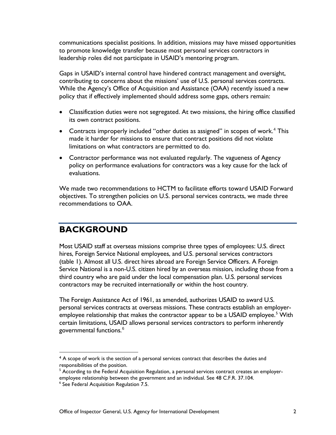communications specialist positions. In addition, missions may have missed opportunities to promote knowledge transfer because most personal services contractors in leadership roles did not participate in USAID's mentoring program.

Gaps in USAID's internal control have hindered contract management and oversight, contributing to concerns about the missions' use of U.S. personal services contracts. While the Agency's Office of Acquisition and Assistance (OAA) recently issued a new policy that if effectively implemented should address some gaps, others remain:

- Classification duties were not segregated. At two missions, the hiring office classified its own contract positions.
- Contracts improperly included "other duties as assigned" in scopes of work.<sup>[4](#page-5-1)</sup> This made it harder for missions to ensure that contract positions did not violate limitations on what contractors are permitted to do.
- Contractor performance was not evaluated regularly. The vagueness of Agency policy on performance evaluations for contractors was a key cause for the lack of evaluations.

We made two recommendations to HCTM to facilitate efforts toward USAID Forward objectives. To strengthen policies on U.S. personal services contracts, we made three recommendations to OAA.

## <span id="page-5-0"></span>**BACKGROUND**

Most USAID staff at overseas missions comprise three types of employees: U.S. direct hires, Foreign Service National employees, and U.S. personal services contractors (table 1). Almost all U.S. direct hires abroad are Foreign Service Officers. A Foreign Service National is a non-U.S. citizen hired by an overseas mission, including those from a third country who are paid under the local compensation plan. U.S. personal services contractors may be recruited internationally or within the host country.

The Foreign Assistance Act of 1961, as amended, authorizes USAID to award U.S. personal services contracts at overseas missions. These contracts establish an employer-employee relationship that makes the contractor appear to be a USAID employee.<sup>[5](#page-5-2)</sup> With certain limitations, USAID allows personal services contractors to perform inherently governmental functions. $^6$  $^6$ 

 $\overline{a}$ 

<span id="page-5-1"></span><sup>&</sup>lt;sup>4</sup> A scope of work is the section of a personal services contract that describes the duties and responsibilities of the position.

<span id="page-5-2"></span> $<sup>5</sup>$  According to the Federal Acquisition Regulation, a personal services contract creates an employer-</sup> employee relationship between the government and an individual. See 48 C.F.R. 37.104.

<span id="page-5-3"></span><sup>6</sup> See Federal Acquisition Regulation 7.5.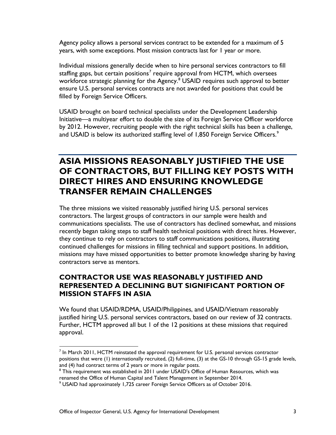Agency policy allows a personal services contract to be extended for a maximum of 5 years, with some exceptions. Most mission contracts last for 1 year or more.

Individual missions generally decide when to hire personal services contractors to fill staffing gaps, but certain positions<sup>[7](#page-6-2)</sup> require approval from HCTM, which oversees workforce strategic planning for the Agency. [8](#page-6-3) USAID requires such approval to better ensure U.S. personal services contracts are not awarded for positions that could be filled by Foreign Service Officers.

USAID brought on board technical specialists under the Development Leadership Initiative—a multiyear effort to double the size of its Foreign Service Officer workforce by 2012. However, recruiting people with the right technical skills has been a challenge, and USAID is below its authorized staffing level of 1,850 Foreign Service Officers.<sup>[9](#page-6-4)</sup>

## <span id="page-6-0"></span>**ASIA MISSIONS REASONABLY JUSTIFIED THE USE OF CONTRACTORS, BUT FILLING KEY POSTS WITH DIRECT HIRES AND ENSURING KNOWLEDGE TRANSFER REMAIN CHALLENGES**

The three missions we visited reasonably justified hiring U.S. personal services contractors. The largest groups of contractors in our sample were health and communications specialists. The use of contractors has declined somewhat, and missions recently began taking steps to staff health technical positions with direct hires. However, they continue to rely on contractors to staff communications positions, illustrating continued challenges for missions in filling technical and support positions. In addition, missions may have missed opportunities to better promote knowledge sharing by having contractors serve as mentors.

## <span id="page-6-1"></span>**CONTRACTOR USE WAS REASONABLY JUSTIFIED AND REPRESENTED A DECLINING BUT SIGNIFICANT PORTION OF MISSION STAFFS IN ASIA**

We found that USAID/RDMA, USAID/Philippines, and USAID/Vietnam reasonably justified hiring U.S. personal services contractors, based on our review of 32 contracts. Further, HCTM approved all but 1 of the 12 positions at these missions that required approval.

<span id="page-6-2"></span> $<sup>7</sup>$  In March 2011, HCTM reinstated the approval requirement for U.S. personal services contractor</sup> positions that were (1) internationally recruited, (2) full-time, (3) at the GS-10 through GS-15 grade levels, and (4) had contract terms of 2 years or more in regular posts.

<span id="page-6-3"></span><sup>&</sup>lt;sup>8</sup> This requirement was established in 2011 under USAID's Office of Human Resources, which was renamed the Office of Human Capital and Talent Management in September 2014.

<span id="page-6-4"></span><sup>9</sup> USAID had approximately 1,725 career Foreign Service Officers as of October 2016.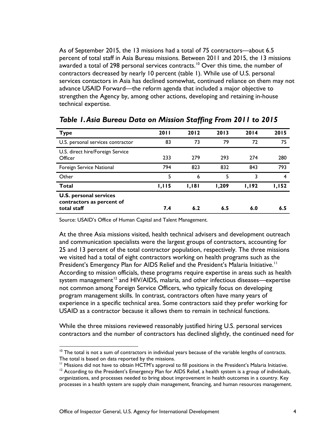As of September 2015, the 13 missions had a total of 75 contractors—about 6.5 percent of total staff in Asia Bureau missions. Between 2011 and 2015, the 13 missions awarded a total of 298 personal services contracts.<sup>[10](#page-7-0)</sup> Over this time, the number of contractors decreased by nearly 10 percent (table 1). While use of U.S. personal services contactors in Asia has declined somewhat, continued reliance on them may not advance USAID Forward—the reform agenda that included a major objective to strengthen the Agency by, among other actions, developing and retaining in-house technical expertise.

| <b>Type</b>                                                               | <b>2011</b> | 2012  | 2013  | 2014         | 2015  |
|---------------------------------------------------------------------------|-------------|-------|-------|--------------|-------|
| U.S. personal services contractor                                         | 83          | 73    | 79    | 72           | 75    |
| U.S. direct hire/Foreign Service<br>Officer                               | 233         | 279   | 293   | 274          | 280   |
| Foreign Service National                                                  | 794         | 823   | 832   | 843          | 793   |
| Other                                                                     | 5           | 6     | 5     | 3            | 4     |
| Total                                                                     | 1,115       | 1,181 | 1,209 | <b>1,192</b> | 1,152 |
| <b>U.S. personal services</b><br>contractors as percent of<br>total staff | 7.4         | 6.2   | 6.5   | 6.0          | 6.5   |

*Table 1.Asia Bureau Data on Mission Staffing From 2011 to 2015*

Source: USAID's Office of Human Capital and Talent Management.

At the three Asia missions visited, health technical advisers and development outreach and communication specialists were the largest groups of contractors, accounting for 25 and 13 percent of the total contractor population, respectively. The three missions we visited had a total of eight contractors working on health programs such as the President's Emergency Plan for AIDS Relief and the President's Malaria Initiative.<sup>[11](#page-7-1)</sup> According to mission officials, these programs require expertise in areas such as health system management<sup>[12](#page-7-2)</sup> and HIV/AIDS, malaria, and other infectious diseases—expertise not common among Foreign Service Officers, who typically focus on developing program management skills. In contrast, contractors often have many years of experience in a specific technical area. Some contractors said they prefer working for USAID as a contractor because it allows them to remain in technical functions.

While the three missions reviewed reasonably justified hiring U.S. personal services contractors and the number of contractors has declined slightly, the continued need for

<span id="page-7-0"></span> $10$  The total is not a sum of contractors in individual years because of the variable lengths of contracts. The total is based on data reported by the missions.

<sup>&</sup>lt;sup>11</sup> Missions did not have to obtain HCTM's approval to fill positions in the President's Malaria Initiative.

<span id="page-7-2"></span><span id="page-7-1"></span><sup>&</sup>lt;sup>12</sup> According to the President's Emergency Plan for AIDS Relief, a health system is a group of individuals, organizations, and processes needed to bring about improvement in health outcomes in a country. Key processes in a health system are supply chain management, financing, and human resources management.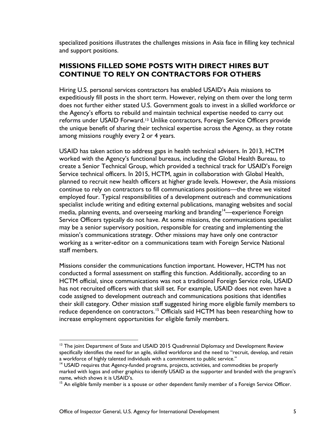specialized positions illustrates the challenges missions in Asia face in filling key technical and support positions.

#### <span id="page-8-0"></span>**MISSIONS FILLED SOME POSTS WITH DIRECT HIRES BUT CONTINUE TO RELY ON CONTRACTORS FOR OTHERS**

Hiring U.S. personal services contractors has enabled USAID's Asia missions to expeditiously fill posts in the short term. However, relying on them over the long term does not further either stated U.S. Government goals to invest in a skilled workforce or the Agency's efforts to rebuild and maintain technical expertise needed to carry out reforms under USAID Forward.[13](#page-8-1) Unlike contractors, Foreign Service Officers provide the unique benefit of sharing their technical expertise across the Agency, as they rotate among missions roughly every 2 or 4 years.

USAID has taken action to address gaps in health technical advisers. In 2013, HCTM worked with the Agency's functional bureaus, including the Global Health Bureau, to create a Senior Technical Group, which provided a technical track for USAID's Foreign Service technical officers. In 2015, HCTM, again in collaboration with Global Health, planned to recruit new health officers at higher grade levels. However, the Asia missions continue to rely on contractors to fill communications positions—the three we visited employed four. Typical responsibilities of a development outreach and communications specialist include writing and editing external publications, managing websites and social media, planning events, and overseeing marking and branding<sup>[14](#page-8-2)</sup>—experience Foreign Service Officers typically do not have. At some missions, the communications specialist may be a senior supervisory position, responsible for creating and implementing the mission's communications strategy. Other missions may have only one contractor working as a writer-editor on a communications team with Foreign Service National staff members.

Missions consider the communications function important. However, HCTM has not conducted a formal assessment on staffing this function. Additionally, according to an HCTM official, since communications was not a traditional Foreign Service role, USAID has not recruited officers with that skill set. For example, USAID does not even have a code assigned to development outreach and communications positions that identifies their skill category. Other mission staff suggested hiring more eligible family members to reduce dependence on contractors.<sup>[15](#page-8-3)</sup> Officials said HCTM has been researching how to increase employment opportunities for eligible family members.

<span id="page-8-1"></span> $13$  The joint Department of State and USAID 2015 Quadrennial Diplomacy and Development Review specifically identifies the need for an agile, skilled workforce and the need to "recruit, develop, and retain a workforce of highly talented individuals with a commitment to public service."

<span id="page-8-2"></span><sup>&</sup>lt;sup>14</sup> USAID requires that Agency-funded programs, projects, activities, and commodities be properly marked with logos and other graphics to identify USAID as the supporter and branded with the program's name, which shows it is USAID's.

<span id="page-8-3"></span><sup>&</sup>lt;sup>15</sup> An eligible family member is a spouse or other dependent family member of a Foreign Service Officer.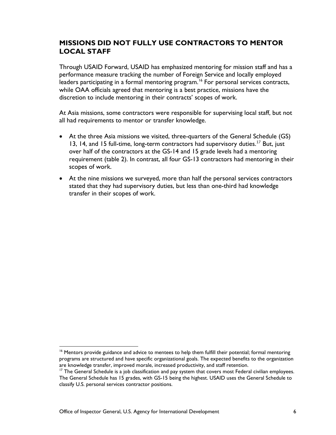#### <span id="page-9-0"></span>**MISSIONS DID NOT FULLY USE CONTRACTORS TO MENTOR LOCAL STAFF**

Through USAID Forward, USAID has emphasized mentoring for mission staff and has a performance measure tracking the number of Foreign Service and locally employed leaders participating in a formal mentoring program.<sup>[16](#page-9-1)</sup> For personal services contracts, while OAA officials agreed that mentoring is a best practice, missions have the discretion to include mentoring in their contracts' scopes of work.

At Asia missions, some contractors were responsible for supervising local staff, but not all had requirements to mentor or transfer knowledge.

- At the three Asia missions we visited, three-quarters of the General Schedule (GS) 13, 14, and 15 full-time, long-term contractors had supervisory duties.<sup>[17](#page-9-2)</sup> But, just over half of the contractors at the GS-14 and 15 grade levels had a mentoring requirement (table 2). In contrast, all four GS-13 contractors had mentoring in their scopes of work.
- At the nine missions we surveyed, more than half the personal services contractors stated that they had supervisory duties, but less than one-third had knowledge transfer in their scopes of work.

<span id="page-9-1"></span><sup>&</sup>lt;sup>16</sup> Mentors provide guidance and advice to mentees to help them fulfill their potential; formal mentoring programs are structured and have specific organizational goals. The expected benefits to the organization are knowledge transfer, improved morale, increased productivity, and staff retention.

<span id="page-9-2"></span><sup>&</sup>lt;sup>17</sup> The General Schedule is a job classification and pay system that covers most Federal civilian employees. The General Schedule has 15 grades, with GS-15 being the highest. USAID uses the General Schedule to classify U.S. personal services contractor positions.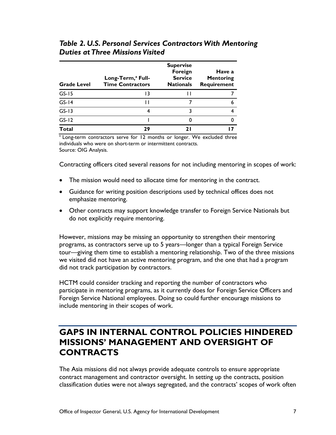| Table 2. U.S. Personal Services Contractors With Mentoring |  |
|------------------------------------------------------------|--|
| Duties at Three Missions Visited                           |  |
|                                                            |  |

| <b>Grade Level</b> | Long-Term, <sup>a</sup> Full-<br><b>Time Contractors</b> | <b>Supervise</b><br>Foreign<br><b>Service</b><br><b>Nationals</b> | Have a<br><b>Mentoring</b><br><b>Requirement</b> |
|--------------------|----------------------------------------------------------|-------------------------------------------------------------------|--------------------------------------------------|
| $GS-15$            | 13                                                       |                                                                   |                                                  |
| $GS-I4$            |                                                          |                                                                   | 6                                                |
| $GS-13$            |                                                          |                                                                   |                                                  |
| $GS-12$            |                                                          |                                                                   |                                                  |
| <b>Total</b>       | 29                                                       | ו ר                                                               |                                                  |

<sup>a</sup> Long-term contractors serve for 12 months or longer. We excluded three individuals who were on short-term or intermittent contracts. Source: OIG Analysis.

Contracting officers cited several reasons for not including mentoring in scopes of work:

- The mission would need to allocate time for mentoring in the contract.
- Guidance for writing position descriptions used by technical offices does not emphasize mentoring.
- Other contracts may support knowledge transfer to Foreign Service Nationals but do not explicitly require mentoring.

However, missions may be missing an opportunity to strengthen their mentoring programs, as contractors serve up to 5 years—longer than a typical Foreign Service tour—giving them time to establish a mentoring relationship. Two of the three missions we visited did not have an active mentoring program, and the one that had a program did not track participation by contractors.

HCTM could consider tracking and reporting the number of contractors who participate in mentoring programs, as it currently does for Foreign Service Officers and Foreign Service National employees. Doing so could further encourage missions to include mentoring in their scopes of work.

## <span id="page-10-0"></span>**GAPS IN INTERNAL CONTROL POLICIES HINDERED MISSIONS' MANAGEMENT AND OVERSIGHT OF CONTRACTS**

The Asia missions did not always provide adequate controls to ensure appropriate contract management and contractor oversight. In setting up the contracts, position classification duties were not always segregated, and the contracts' scopes of work often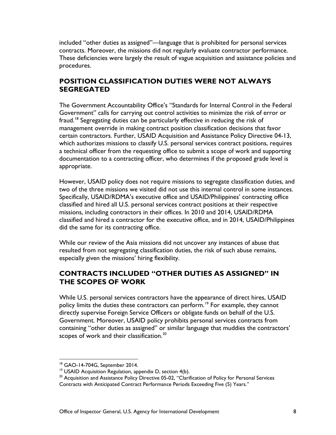included "other duties as assigned"—language that is prohibited for personal services contracts. Moreover, the missions did not regularly evaluate contractor performance. These deficiencies were largely the result of vague acquisition and assistance policies and procedures.

## <span id="page-11-0"></span>**POSITION CLASSIFICATION DUTIES WERE NOT ALWAYS SEGREGATED**

The Government Accountability Office's "Standards for Internal Control in the Federal Government" calls for carrying out control activities to minimize the risk of error or fraud.<sup>[18](#page-11-2)</sup> Segregating duties can be particularly effective in reducing the risk of management override in making contract position classification decisions that favor certain contractors. Further, USAID Acquisition and Assistance Policy Directive 04-13, which authorizes missions to classify U.S. personal services contract positions, requires a technical officer from the requesting office to submit a scope of work and supporting documentation to a contracting officer, who determines if the proposed grade level is appropriate.

However, USAID policy does not require missions to segregate classification duties, and two of the three missions we visited did not use this internal control in some instances. Specifically, USAID/RDMA's executive office and USAID/Philippines' contracting office classified and hired all U.S. personal services contract positions at their respective missions, including contractors in their offices. In 2010 and 2014, USAID/RDMA classified and hired a contractor for the executive office, and in 2014, USAID/Philippines did the same for its contracting office.

While our review of the Asia missions did not uncover any instances of abuse that resulted from not segregating classification duties, the risk of such abuse remains, especially given the missions' hiring flexibility.

## <span id="page-11-1"></span>**CONTRACTS INCLUDED "OTHER DUTIES AS ASSIGNED" IN THE SCOPES OF WORK**

While U.S. personal services contractors have the appearance of direct hires, USAID policy limits the duties these contractors can perform.<sup>[19](#page-11-3)</sup> For example, they cannot directly supervise Foreign Service Officers or obligate funds on behalf of the U.S. Government. Moreover, USAID policy prohibits personal services contracts from containing "other duties as assigned" or similar language that muddies the contractors' scopes of work and their classification.<sup>[20](#page-11-4)</sup>

<span id="page-11-2"></span><sup>&</sup>lt;sup>18</sup> GAO-14-704G, September 2014.<br><sup>19</sup> USAID Acquisition Regulation, appendix D, section 4(b).

<span id="page-11-4"></span><span id="page-11-3"></span> $20$  Acquisition and Assistance Policy Directive 05-02, "Clarification of Policy for Personal Services

Contracts with Anticipated Contract Performance Periods Exceeding Five (5) Years."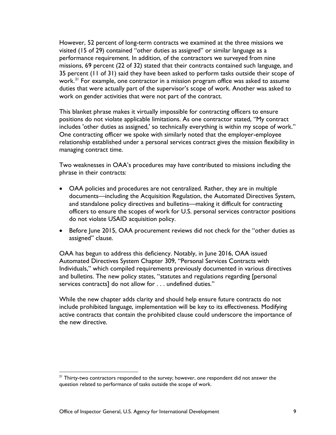However, 52 percent of long-term contracts we examined at the three missions we visited (15 of 29) contained "other duties as assigned" or similar language as a performance requirement. In addition, of the contractors we surveyed from nine missions, 69 percent (22 of 32) stated that their contracts contained such language, and 35 percent (11 of 31) said they have been asked to perform tasks outside their scope of work.<sup>[21](#page-12-0)</sup> For example, one contractor in a mission program office was asked to assume duties that were actually part of the supervisor's scope of work. Another was asked to work on gender activities that were not part of the contract.

This blanket phrase makes it virtually impossible for contracting officers to ensure positions do not violate applicable limitations. As one contractor stated, "My contract includes 'other duties as assigned,' so technically everything is within my scope of work." One contracting officer we spoke with similarly noted that the employer-employee relationship established under a personal services contract gives the mission flexibility in managing contract time.

Two weaknesses in OAA's procedures may have contributed to missions including the phrase in their contracts:

- OAA policies and procedures are not centralized. Rather, they are in multiple documents—including the Acquisition Regulation, the Automated Directives System, and standalone policy directives and bulletins—making it difficult for contracting officers to ensure the scopes of work for U.S. personal services contractor positions do not violate USAID acquisition policy.
- Before June 2015, OAA procurement reviews did not check for the "other duties as assigned" clause.

OAA has begun to address this deficiency. Notably, in June 2016, OAA issued Automated Directives System Chapter 309, "Personal Services Contracts with Individuals," which compiled requirements previously documented in various directives and bulletins. The new policy states, "statutes and regulations regarding [personal services contracts] do not allow for . . . undefined duties."

While the new chapter adds clarity and should help ensure future contracts do not include prohibited language, implementation will be key to its effectiveness. Modifying active contracts that contain the prohibited clause could underscore the importance of the new directive.

<span id="page-12-0"></span><sup>&</sup>lt;sup>21</sup> Thirty-two contractors responded to the survey; however, one respondent did not answer the question related to performance of tasks outside the scope of work.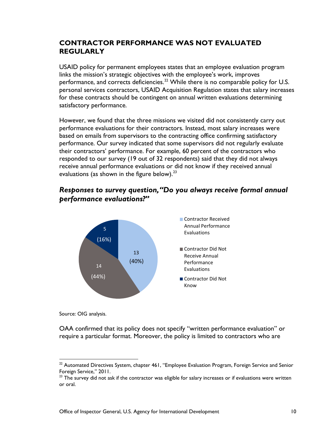#### <span id="page-13-0"></span>**CONTRACTOR PERFORMANCE WAS NOT EVALUATED REGULARLY**

USAID policy for permanent employees states that an employee evaluation program links the mission's strategic objectives with the employee's work, improves performance, and corrects deficiencies.<sup>[22](#page-13-1)</sup> While there is no comparable policy for U.S. personal services contractors, USAID Acquisition Regulation states that salary increases for these contracts should be contingent on annual written evaluations determining satisfactory performance.

However, we found that the three missions we visited did not consistently carry out performance evaluations for their contractors. Instead, most salary increases were based on emails from supervisors to the contracting office confirming satisfactory performance. Our survey indicated that some supervisors did not regularly evaluate their contractors' performance. For example, 60 percent of the contractors who responded to our survey (19 out of 32 respondents) said that they did not always receive annual performance evaluations or did not know if they received annual evaluations (as shown in the figure below).<sup>[23](#page-13-2)</sup>

## *Responses to survey question,"Do you always receive formal annual performance evaluations?"*



Source: OIG analysis.

OAA confirmed that its policy does not specify "written performance evaluation" or require a particular format. Moreover, the policy is limited to contractors who are

<span id="page-13-1"></span><sup>&</sup>lt;sup>22</sup> Automated Directives System, chapter 461, "Employee Evaluation Program, Foreign Service and Senior Foreign Service," 2011.

<span id="page-13-2"></span> $23$  The survey did not ask if the contractor was eligible for salary increases or if evaluations were written or oral.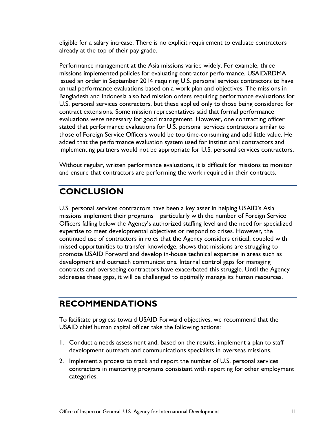eligible for a salary increase. There is no explicit requirement to evaluate contractors already at the top of their pay grade.

Performance management at the Asia missions varied widely. For example, three missions implemented policies for evaluating contractor performance. USAID/RDMA issued an order in September 2014 requiring U.S. personal services contractors to have annual performance evaluations based on a work plan and objectives. The missions in Bangladesh and Indonesia also had mission orders requiring performance evaluations for U.S. personal services contractors, but these applied only to those being considered for contract extensions. Some mission representatives said that formal performance evaluations were necessary for good management. However, one contracting officer stated that performance evaluations for U.S. personal services contractors similar to those of Foreign Service Officers would be too time-consuming and add little value. He added that the performance evaluation system used for institutional contractors and implementing partners would not be appropriate for U.S. personal services contractors.

Without regular, written performance evaluations, it is difficult for missions to monitor and ensure that contractors are performing the work required in their contracts.

# <span id="page-14-0"></span>**CONCLUSION**

U.S. personal services contractors have been a key asset in helping USAID's Asia missions implement their programs—particularly with the number of Foreign Service Officers falling below the Agency's authorized staffing level and the need for specialized expertise to meet developmental objectives or respond to crises. However, the continued use of contractors in roles that the Agency considers critical, coupled with missed opportunities to transfer knowledge, shows that missions are struggling to promote USAID Forward and develop in-house technical expertise in areas such as development and outreach communications. Internal control gaps for managing contracts and overseeing contractors have exacerbated this struggle. Until the Agency addresses these gaps, it will be challenged to optimally manage its human resources.

## <span id="page-14-1"></span>**RECOMMENDATIONS**

To facilitate progress toward USAID Forward objectives, we recommend that the USAID chief human capital officer take the following actions:

- 1. Conduct a needs assessment and, based on the results, implement a plan to staff development outreach and communications specialists in overseas missions.
- 2. Implement a process to track and report the number of U.S. personal services contractors in mentoring programs consistent with reporting for other employment categories.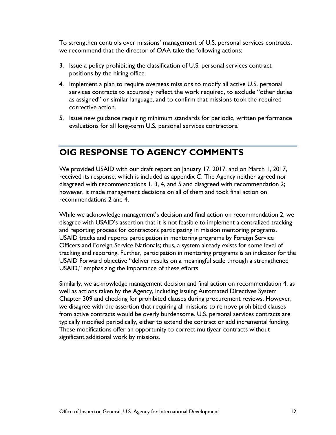To strengthen controls over missions' management of U.S. personal services contracts, we recommend that the director of OAA take the following actions:

- 3. Issue a policy prohibiting the classification of U.S. personal services contract positions by the hiring office.
- 4. Implement a plan to require overseas missions to modify all active U.S. personal services contracts to accurately reflect the work required, to exclude "other duties as assigned" or similar language, and to confirm that missions took the required corrective action.
- 5. Issue new guidance requiring minimum standards for periodic, written performance evaluations for all long-term U.S. personal services contractors.

## <span id="page-15-0"></span>**OIG RESPONSE TO AGENCY COMMENTS**

We provided USAID with our draft report on January 17, 2017, and on March 1, 2017, received its response, which is included as appendix C. The Agency neither agreed nor disagreed with recommendations 1, 3, 4, and 5 and disagreed with recommendation 2; however, it made management decisions on all of them and took final action on recommendations 2 and 4.

While we acknowledge management's decision and final action on recommendation 2, we disagree with USAID's assertion that it is not feasible to implement a centralized tracking and reporting process for contractors participating in mission mentoring programs. USAID tracks and reports participation in mentoring programs by Foreign Service Officers and Foreign Service Nationals; thus, a system already exists for some level of tracking and reporting. Further, participation in mentoring programs is an indicator for the USAID Forward objective "deliver results on a meaningful scale through a strengthened USAID," emphasizing the importance of these efforts.

Similarly, we acknowledge management decision and final action on recommendation 4, as well as actions taken by the Agency, including issuing Automated Directives System Chapter 309 and checking for prohibited clauses during procurement reviews. However, we disagree with the assertion that requiring all missions to remove prohibited clauses from active contracts would be overly burdensome. U.S. personal services contracts are typically modified periodically, either to extend the contract or add incremental funding. These modifications offer an opportunity to correct multiyear contracts without significant additional work by missions.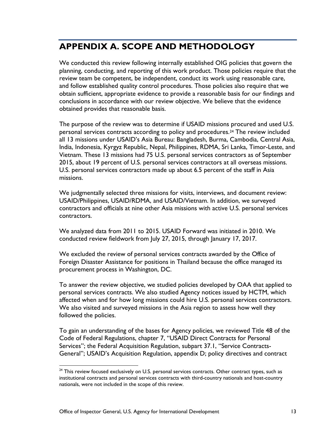# <span id="page-16-0"></span>**APPENDIX A. SCOPE AND METHODOLOGY**

We conducted this review following internally established OIG policies that govern the planning, conducting, and reporting of this work product. Those policies require that the review team be competent, be independent, conduct its work using reasonable care, and follow established quality control procedures. Those policies also require that we obtain sufficient, appropriate evidence to provide a reasonable basis for our findings and conclusions in accordance with our review objective. We believe that the evidence obtained provides that reasonable basis.

The purpose of the review was to determine if USAID missions procured and used U.S. personal services contracts according to policy and procedures.[24](#page-16-1) The review included all 13 missions under USAID's Asia Bureau: Bangladesh, Burma, Cambodia, Central Asia, India, Indonesia, Kyrgyz Republic, Nepal, Philippines, RDMA, Sri Lanka, Timor-Leste, and Vietnam. These 13 missions had 75 U.S. personal services contractors as of September 2015, about 19 percent of U.S. personal services contractors at all overseas missions. U.S. personal services contractors made up about 6.5 percent of the staff in Asia missions.

We judgmentally selected three missions for visits, interviews, and document review: USAID/Philippines, USAID/RDMA, and USAID/Vietnam. In addition, we surveyed contractors and officials at nine other Asia missions with active U.S. personal services contractors.

We analyzed data from 2011 to 2015. USAID Forward was initiated in 2010. We conducted review fieldwork from July 27, 2015, through January 17, 2017.

We excluded the review of personal services contracts awarded by the Office of Foreign Disaster Assistance for positions in Thailand because the office managed its procurement process in Washington, DC.

To answer the review objective, we studied policies developed by OAA that applied to personal services contracts. We also studied Agency notices issued by HCTM, which affected when and for how long missions could hire U.S. personal services contractors. We also visited and surveyed missions in the Asia region to assess how well they followed the policies.

To gain an understanding of the bases for Agency policies, we reviewed Title 48 of the Code of Federal Regulations, chapter 7, "USAID Direct Contracts for Personal Services"; the Federal Acquisition Regulation, subpart 37.1, "Service Contracts-General"; USAID's Acquisition Regulation, appendix D; policy directives and contract

<span id="page-16-1"></span><sup>&</sup>lt;sup>24</sup> This review focused exclusively on U.S. personal services contracts. Other contract types, such as institutional contracts and personal services contracts with third-country nationals and host-country nationals, were not included in the scope of this review.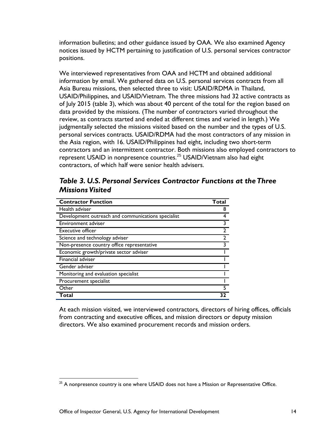information bulletins; and other guidance issued by OAA. We also examined Agency notices issued by HCTM pertaining to justification of U.S. personal services contractor positions.

We interviewed representatives from OAA and HCTM and obtained additional information by email. We gathered data on U.S. personal services contracts from all Asia Bureau missions, then selected three to visit: USAID/RDMA in Thailand, USAID/Philippines, and USAID/Vietnam. The three missions had 32 active contracts as of July 2015 (table 3), which was about 40 percent of the total for the region based on data provided by the missions. (The number of contractors varied throughout the review, as contracts started and ended at different times and varied in length.) We judgmentally selected the missions visited based on the number and the types of U.S. personal services contracts. USAID/RDMA had the most contractors of any mission in the Asia region, with 16. USAID/Philippines had eight, including two short-term contractors and an intermittent contractor. Both missions also employed contractors to represent USAID in nonpresence countries. [25](#page-17-0) USAID/Vietnam also had eight contractors, of which half were senior health advisers.

| Table 3. U.S. Personal Services Contractor Functions at the Three |  |
|-------------------------------------------------------------------|--|
| <b>Missions Visited</b>                                           |  |

| <b>Contractor Function</b>                         | Total |
|----------------------------------------------------|-------|
| Health adviser                                     | 8     |
| Development outreach and communications specialist |       |
| <b>Environment adviser</b>                         |       |
| Executive officer                                  |       |
| Science and technology adviser                     |       |
| Non-presence country office representative         |       |
| Economic growth/private sector adviser             |       |
| Financial adviser                                  |       |
| Gender adviser                                     |       |
| Monitoring and evaluation specialist               |       |
| Procurement specialist                             |       |
| Other                                              |       |
| Total                                              |       |

At each mission visited, we interviewed contractors, directors of hiring offices, officials from contracting and executive offices, and mission directors or deputy mission directors. We also examined procurement records and mission orders.

<span id="page-17-0"></span><sup>&</sup>lt;sup>25</sup> A nonpresence country is one where USAID does not have a Mission or Representative Office.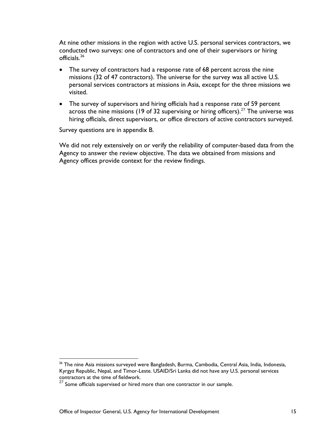At nine other missions in the region with active U.S. personal services contractors, we conducted two surveys: one of contractors and one of their supervisors or hiring officials. [26](#page-18-0)

- The survey of contractors had a response rate of 68 percent across the nine missions (32 of 47 contractors). The universe for the survey was all active U.S. personal services contractors at missions in Asia, except for the three missions we visited.
- The survey of supervisors and hiring officials had a response rate of 59 percent across the nine missions (19 of 32 supervising or hiring officers).<sup>[27](#page-18-1)</sup> The universe was hiring officials, direct supervisors, or office directors of active contractors surveyed.

Survey questions are in appendix B.

We did not rely extensively on or verify the reliability of computer-based data from the Agency to answer the review objective. The data we obtained from missions and Agency offices provide context for the review findings.

<span id="page-18-0"></span><sup>&</sup>lt;sup>26</sup> The nine Asia missions surveyed were Bangladesh, Burma, Cambodia, Central Asia, India, Indonesia, Kyrgyz Republic, Nepal, and Timor-Leste. USAID/Sri Lanka did not have any U.S. personal services contractors at the time of fieldwork.

<span id="page-18-1"></span> $27$  Some officials supervised or hired more than one contractor in our sample.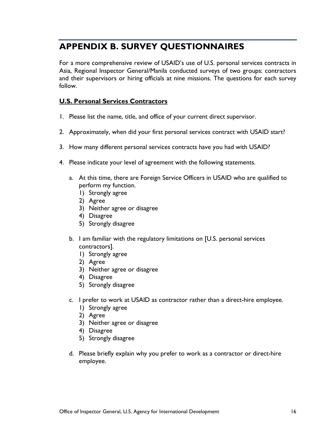## <span id="page-19-0"></span>**APPENDIX B. SURVEY QUESTIONNAIRES**

For a more comprehensive review of USAID's use of U.S. personal services contracts in Asia, Regional Inspector General/Manila conducted surveys of two groups: contractors and their supervisors or hiring officials at nine missions. The questions for each survey follow.

#### **U.S. Personal Services Contractors**

- 1. Please list the name, title, and office of your current direct supervisor.
- 2. Approximately, when did your first personal services contract with USAID start?
- 3. How many different personal services contracts have you had with USAID?
- 4. Please indicate your level of agreement with the following statements.
	- a. At this time, there are Foreign Service Officers in USAID who are qualified to perform my function.
		- 1) Strongly agree
		- 2) Agree
		- 3) Neither agree or disagree
		- 4) Disagree
		- 5) Strongly disagree
	- b. I am familiar with the regulatory limitations on [U.S. personal services contractors].
		- 1) Strongly agree
		- 2) Agree
		- 3) Neither agree or disagree
		- 4) Disagree
		- 5) Strongly disagree
	- c. I prefer to work at USAID as contractor rather than a direct-hire employee.
		- 1) Strongly agree
		- 2) Agree
		- 3) Neither agree or disagree
		- 4) Disagree
		- 5) Strongly disagree
	- d. Please briefly explain why you prefer to work as a contractor or direct-hire employee.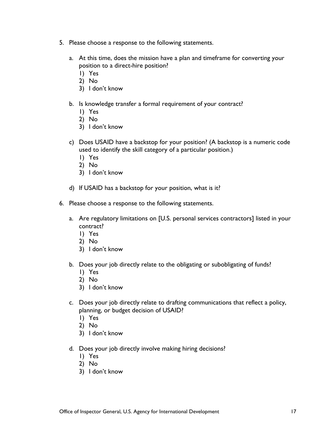- 5. Please choose a response to the following statements.
	- a. At this time, does the mission have a plan and timeframe for converting your position to a direct-hire position?
		- 1) Yes
		- 2) No
		- 3) I don't know
	- b. Is knowledge transfer a formal requirement of your contract?
		- 1) Yes
		- 2) No
		- 3) I don't know
	- c) Does USAID have a backstop for your position? (A backstop is a numeric code used to identify the skill category of a particular position.)
		- 1) Yes
		- 2) No
		- 3) I don't know
	- d) If USAID has a backstop for your position, what is it?
- 6. Please choose a response to the following statements.
	- a. Are regulatory limitations on [U.S. personal services contractors] listed in your contract?
		- 1) Yes
		- 2) No
		- 3) I don't know
	- b. Does your job directly relate to the obligating or subobligating of funds?
		- 1) Yes
		- 2) No
		- 3) I don't know
	- c. Does your job directly relate to drafting communications that reflect a policy, planning, or budget decision of USAID?
		- 1) Yes
		- 2) No
		- 3) I don't know
	- d. Does your job directly involve making hiring decisions?
		- 1) Yes
		- 2) No
		- 3) I don't know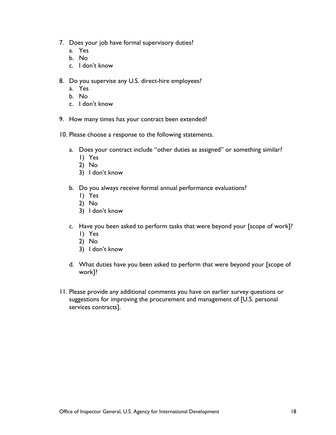- 7. Does your job have formal supervisory duties?
	- a. Yes
	- b. No
	- c. I don't know
- 8. Do you supervise any U.S. direct-hire employees?
	- a. Yes
	- b. No
	- c. I don't know
- 9. How many times has your contract been extended?
- 10. Please choose a response to the following statements.
	- a. Does your contract include "other duties as assigned" or something similar?
		- 1) Yes
		- 2) No
		- 3) I don't know
	- b. Do you always receive formal annual performance evaluations?
		- 1) Yes
		- 2) No
		- 3) I don't know
	- c. Have you been asked to perform tasks that were beyond your [scope of work]? 1) Yes
		- 2) No
		- 3) I don't know
	- d. What duties have you been asked to perform that were beyond your [scope of work]?
- 11. Please provide any additional comments you have on earlier survey questions or suggestions for improving the procurement and management of [U.S. personal services contracts].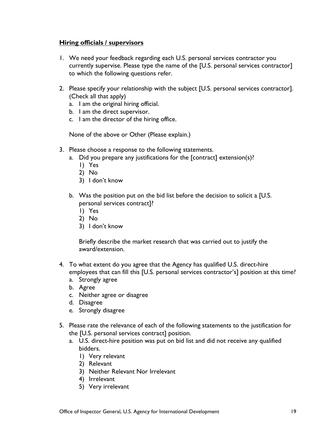#### **Hiring officials / supervisors**

- 1. We need your feedback regarding each U.S. personal services contractor you currently supervise. Please type the name of the [U.S. personal services contractor] to which the following questions refer.
- 2. Please specify your relationship with the subject [U.S. personal services contractor]. (Check all that apply)
	- a. I am the original hiring official.
	- b. I am the direct supervisor.
	- c. I am the director of the hiring office.

None of the above or Other (Please explain.)

- 3. Please choose a response to the following statements.
	- a. Did you prepare any justifications for the [contract] extension(s)?
		- 1) Yes
		- 2) No
		- 3) I don't know
	- b. Was the position put on the bid list before the decision to solicit a [U.S. personal services contract]?
		- 1) Yes
		- 2) No
		- 3) I don't know

Briefly describe the market research that was carried out to justify the award/extension.

- 4. To what extent do you agree that the Agency has qualified U.S. direct-hire employees that can fill this [U.S. personal services contractor's] position at this time?
	- a. Strongly agree
	- b. Agree
	- c. Neither agree or disagree
	- d. Disagree
	- e. Strongly disagree
- 5. Please rate the relevance of each of the following statements to the justification for the [U.S. personal services contract] position.
	- a. U.S. direct-hire position was put on bid list and did not receive any qualified bidders.
		- 1) Very relevant
		- 2) Relevant
		- 3) Neither Relevant Nor Irrelevant
		- 4) Irrelevant
		- 5) Very irrelevant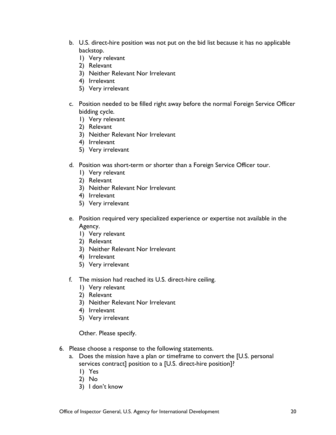- b. U.S. direct-hire position was not put on the bid list because it has no applicable backstop.
	- 1) Very relevant
	- 2) Relevant
	- 3) Neither Relevant Nor Irrelevant
	- 4) Irrelevant
	- 5) Very irrelevant
- c. Position needed to be filled right away before the normal Foreign Service Officer bidding cycle.
	- 1) Very relevant
	- 2) Relevant
	- 3) Neither Relevant Nor Irrelevant
	- 4) Irrelevant
	- 5) Very irrelevant
- d. Position was short-term or shorter than a Foreign Service Officer tour.
	- 1) Very relevant
	- 2) Relevant
	- 3) Neither Relevant Nor Irrelevant
	- 4) Irrelevant
	- 5) Very irrelevant
- e. Position required very specialized experience or expertise not available in the Agency.
	- 1) Very relevant
	- 2) Relevant
	- 3) Neither Relevant Nor Irrelevant
	- 4) Irrelevant
	- 5) Very irrelevant
- f. The mission had reached its U.S. direct-hire ceiling.
	- 1) Very relevant
	- 2) Relevant
	- 3) Neither Relevant Nor Irrelevant
	- 4) Irrelevant
	- 5) Very irrelevant

Other. Please specify.

- 6. Please choose a response to the following statements.
	- a. Does the mission have a plan or timeframe to convert the [U.S. personal services contract] position to a [U.S. direct-hire position]?
		- 1) Yes
		- 2) No
		- 3) I don't know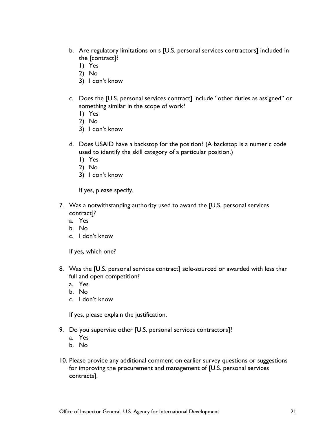- b. Are regulatory limitations on s [U.S. personal services contractors] included in the [contract]?
	- 1) Yes
	- 2) No
	- 3) I don't know
- c. Does the [U.S. personal services contract] include "other duties as assigned" or something similar in the scope of work?
	- 1) Yes
	- 2) No
	- 3) I don't know
- d. Does USAID have a backstop for the position? (A backstop is a numeric code used to identify the skill category of a particular position.)
	- 1) Yes
	- 2) No
	- 3) I don't know

If yes, please specify.

- 7. Was a notwithstanding authority used to award the [U.S. personal services contract]?
	- a. Yes
	- b. No
	- c. I don't know

If yes, which one?

- 8. Was the [U.S. personal services contract] sole-sourced or awarded with less than full and open competition?
	- a. Yes
	- b. No
	- c. I don't know

If yes, please explain the justification.

- 9. Do you supervise other [U.S. personal services contractors]?
	- a. Yes
	- b. No
- 10. Please provide any additional comment on earlier survey questions or suggestions for improving the procurement and management of [U.S. personal services contracts].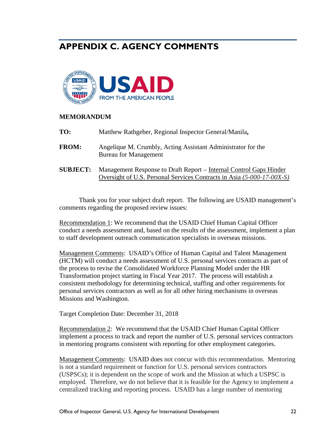## <span id="page-25-0"></span>**APPENDIX C. AGENCY COMMENTS**



#### **MEMORANDUM**

| TO:             | Matthew Rathgeber, Regional Inspector General/Manila,                                                                                        |
|-----------------|----------------------------------------------------------------------------------------------------------------------------------------------|
| <b>FROM:</b>    | Angelique M. Crumbly, Acting Assistant Administrator for the<br><b>Bureau for Management</b>                                                 |
| <b>SUBJECT:</b> | Management Response to Draft Report – Internal Control Gaps Hinder<br>Oversight of U.S. Personal Services Contracts in Asia (5-000-17-00X-S) |

Thank you for your subject draft report. The following are USAID management's comments regarding the proposed review issues:

Recommendation 1: We recommend that the USAID Chief Human Capital Officer conduct a needs assessment and, based on the results of the assessment, implement a plan to staff development outreach communication specialists in overseas missions.

Management Comments: USAID's Office of Human Capital and Talent Management (HCTM) will conduct a needs assessment of U.S. personal services contracts as part of the process to revise the Consolidated Workforce Planning Model under the HR Transformation project starting in Fiscal Year 2017. The process will establish a consistent methodology for determining technical, staffing and other requirements for personal services contractors as well as for all other hiring mechanisms in overseas Missions and Washington.

Target Completion Date: December 31, 2018

Recommendation 2: We recommend that the USAID Chief Human Capital Officer implement a process to track and report the number of U.S. personal services contractors in mentoring programs consistent with reporting for other employment categories.

Management Comments: USAID does not concur with this recommendation. Mentoring is not a standard requirement or function for U.S. personal services contractors (USPSCs); it is dependent on the scope of work and the Mission at which a USPSC is employed. Therefore, we do not believe that it is feasible for the Agency to implement a centralized tracking and reporting process. USAID has a large number of mentoring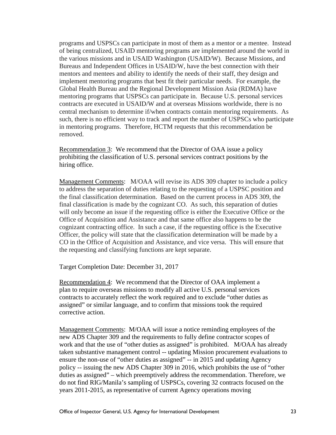programs and USPSCs can participate in most of them as a mentor or a mentee. Instead of being centralized, USAID mentoring programs are implemented around the world in the various missions and in USAID Washington (USAID/W). Because Missions, and Bureaus and Independent Offices in USAID/W, have the best connection with their mentors and mentees and ability to identify the needs of their staff, they design and implement mentoring programs that best fit their particular needs. For example, the Global Health Bureau and the Regional Development Mission Asia (RDMA) have mentoring programs that USPSCs can participate in. Because U.S. personal services contracts are executed in USAID/W and at overseas Missions worldwide, there is no central mechanism to determine if/when contracts contain mentoring requirements. As such, there is no efficient way to track and report the number of USPSCs who participate in mentoring programs. Therefore, HCTM requests that this recommendation be removed.

Recommendation 3: We recommend that the Director of OAA issue a policy prohibiting the classification of U.S. personal services contract positions by the hiring office.

Management Comments: M/OAA will revise its ADS 309 chapter to include a policy to address the separation of duties relating to the requesting of a USPSC position and the final classification determination. Based on the current process in ADS 309, the final classification is made by the cognizant CO. As such, this separation of duties will only become an issue if the requesting office is either the Executive Office or the Office of Acquisition and Assistance and that same office also happens to be the cognizant contracting office. In such a case, if the requesting office is the Executive Officer, the policy will state that the classification determination will be made by a CO in the Office of Acquisition and Assistance, and vice versa. This will ensure that the requesting and classifying functions are kept separate.

Target Completion Date: December 31, 2017

Recommendation 4: We recommend that the Director of OAA implement a plan to require overseas missions to modify all active U.S. personal services contracts to accurately reflect the work required and to exclude "other duties as assigned" or similar language, and to confirm that missions took the required corrective action.

Management Comments: M/OAA will issue a notice reminding employees of the new ADS Chapter 309 and the requirements to fully define contractor scopes of work and that the use of "other duties as assigned" is prohibited. M/OAA has already taken substantive management control -- updating Mission procurement evaluations to ensure the non-use of "other duties as assigned" -- in 2015 and updating Agency policy -- issuing the new ADS Chapter 309 in 2016, which prohibits the use of "other duties as assigned" – which preemptively address the recommendation. Therefore, we do not find RIG/Manila's sampling of USPSCs, covering 32 contracts focused on the years 2011-2015, as representative of current Agency operations moving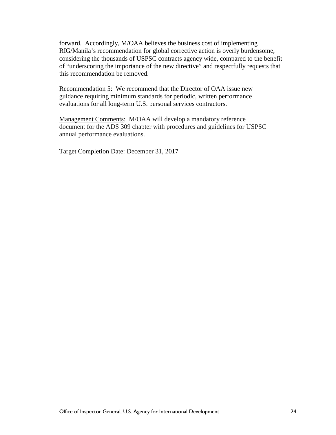forward. Accordingly, M/OAA believes the business cost of implementing RIG/Manila's recommendation for global corrective action is overly burdensome, considering the thousands of USPSC contracts agency wide, compared to the benefit of "underscoring the importance of the new directive" and respectfully requests that this recommendation be removed.

Recommendation 5: We recommend that the Director of OAA issue new guidance requiring minimum standards for periodic, written performance evaluations for all long-term U.S. personal services contractors.

Management Comments: M/OAA will develop a mandatory reference document for the ADS 309 chapter with procedures and guidelines for USPSC annual performance evaluations.

Target Completion Date: December 31, 2017